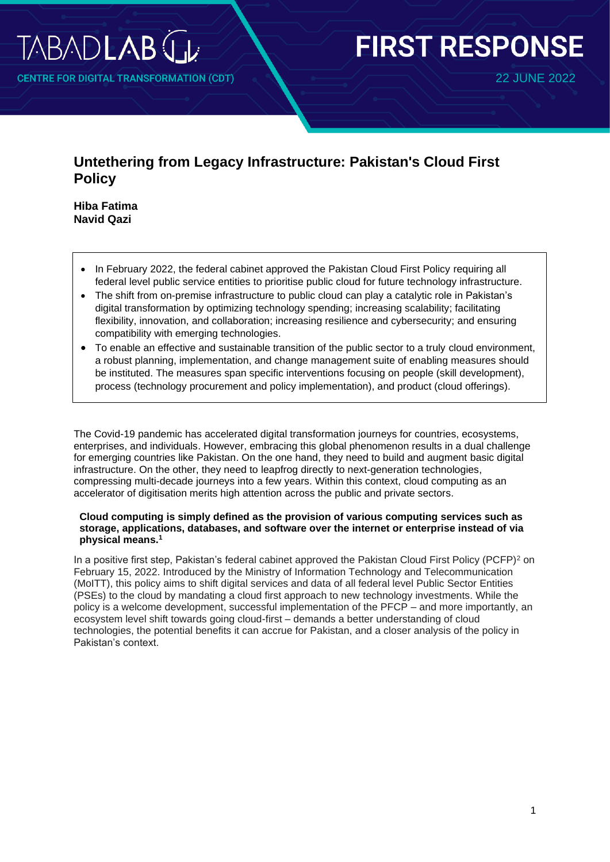

**NTRE FOR DIGITAL TRANSFORMATION (CDT)** 

# **FIRST RESPONSE**

22 JUNE 2022

# **Untethering from Legacy Infrastructure: Pakistan's Cloud First Policy**

**Hiba Fatima Navid Qazi**

- In February 2022, the federal cabinet approved the Pakistan Cloud First Policy requiring all federal level public service entities to prioritise public cloud for future technology infrastructure.
- The shift from on-premise infrastructure to public cloud can play a catalytic role in Pakistan's digital transformation by optimizing technology spending; increasing scalability; facilitating flexibility, innovation, and collaboration; increasing resilience and cybersecurity; and ensuring compatibility with emerging technologies.
- To enable an effective and sustainable transition of the public sector to a truly cloud environment, a robust planning, implementation, and change management suite of enabling measures should be instituted. The measures span specific interventions focusing on people (skill development), process (technology procurement and policy implementation), and product (cloud offerings).

The Covid-19 pandemic has accelerated digital transformation journeys for countries, ecosystems, enterprises, and individuals. However, embracing this global phenomenon results in a dual challenge for emerging countries like Pakistan. On the one hand, they need to build and augment basic digital infrastructure. On the other, they need to leapfrog directly to next-generation technologies, compressing multi-decade journeys into a few years. Within this context, cloud computing as an accelerator of digitisation merits high attention across the public and private sectors.

#### **Cloud computing is simply defined as the provision of various computing services such as storage, applications, databases, and software over the internet or enterprise instead of via physical means. 1**

In a positive first step, Pakistan's federal cabinet approved the Pakistan Cloud First Policy (PCFP)<sup>2</sup> on February 15, 2022. Introduced by the Ministry of Information Technology and Telecommunication (MoITT), this policy aims to shift digital services and data of all federal level Public Sector Entities (PSEs) to the cloud by mandating a cloud first approach to new technology investments. While the policy is a welcome development, successful implementation of the PFCP – and more importantly, an ecosystem level shift towards going cloud-first – demands a better understanding of cloud technologies, the potential benefits it can accrue for Pakistan, and a closer analysis of the policy in Pakistan's context.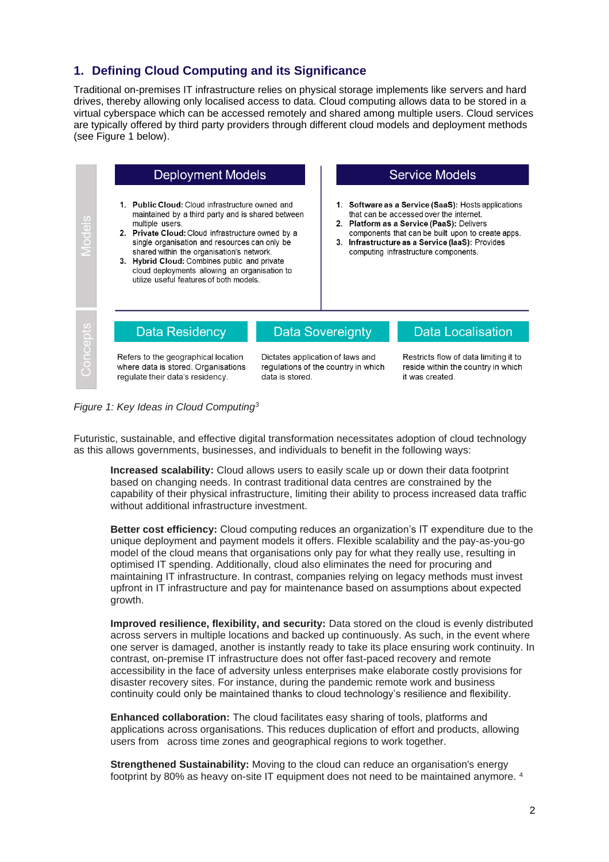## **1. Defining Cloud Computing and its Significance**

Traditional on-premises IT infrastructure relies on physical storage implements like servers and hard drives, thereby allowing only localised access to data. Cloud computing allows data to be stored in a virtual cyberspace which can be accessed remotely and shared among multiple users. Cloud services are typically offered by third party providers through different cloud models and deployment methods (see Figure 1 below).



*Figure 1: Key Ideas in Cloud Computing<sup>3</sup>*

Futuristic, sustainable, and effective digital transformation necessitates adoption of cloud technology as this allows governments, businesses, and individuals to benefit in the following ways:

**Increased scalability:** Cloud allows users to easily scale up or down their data footprint based on changing needs. In contrast traditional data centres are constrained by the capability of their physical infrastructure, limiting their ability to process increased data traffic without additional infrastructure investment.

**Better cost efficiency:** Cloud computing reduces an organization's IT expenditure due to the unique deployment and payment models it offers. Flexible scalability and the pay-as-you-go model of the cloud means that organisations only pay for what they really use, resulting in optimised IT spending. Additionally, cloud also eliminates the need for procuring and maintaining IT infrastructure. In contrast, companies relying on legacy methods must invest upfront in IT infrastructure and pay for maintenance based on assumptions about expected growth.

**Improved resilience, flexibility, and security:** Data stored on the cloud is evenly distributed across servers in multiple locations and backed up continuously. As such, in the event where one server is damaged, another is instantly ready to take its place ensuring work continuity. In contrast, on-premise IT infrastructure does not offer fast-paced recovery and remote accessibility in the face of adversity unless enterprises make elaborate costly provisions for disaster recovery sites. For instance, during the pandemic remote work and business continuity could only be maintained thanks to cloud technology's resilience and flexibility.

**Enhanced collaboration:** The cloud facilitates easy sharing of tools, platforms and applications across organisations. This reduces duplication of effort and products, allowing users from across time zones and geographical regions to work together.

**Strengthened Sustainability:** Moving to the cloud can reduce an organisation's energy footprint by 80% as heavy on-site IT equipment does not need to be maintained anymore. <sup>4</sup>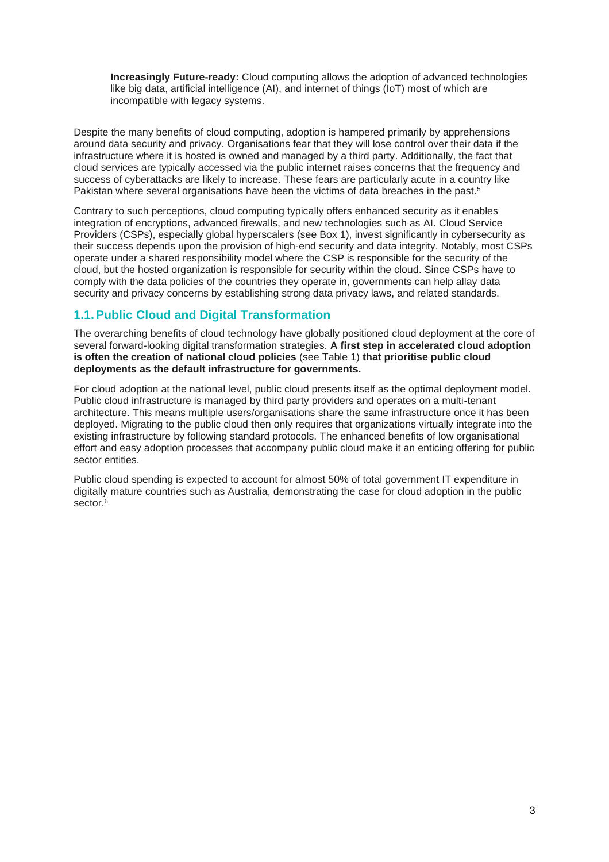**Increasingly Future-ready:** Cloud computing allows the adoption of advanced technologies like big data, artificial intelligence (AI), and internet of things (IoT) most of which are incompatible with legacy systems.

Despite the many benefits of cloud computing, adoption is hampered primarily by apprehensions around data security and privacy. Organisations fear that they will lose control over their data if the infrastructure where it is hosted is owned and managed by a third party. Additionally, the fact that cloud services are typically accessed via the public internet raises concerns that the frequency and success of cyberattacks are likely to increase. These fears are particularly acute in a country like Pakistan where several organisations have been the victims of data breaches in the past. 5

Contrary to such perceptions, cloud computing typically offers enhanced security as it enables integration of encryptions, advanced firewalls, and new technologies such as AI. Cloud Service Providers (CSPs), especially global hyperscalers (see Box 1), invest significantly in cybersecurity as their success depends upon the provision of high-end security and data integrity. Notably, most CSPs operate under a shared responsibility model where the CSP is responsible for the security of the cloud, but the hosted organization is responsible for security within the cloud. Since CSPs have to comply with the data policies of the countries they operate in, governments can help allay data security and privacy concerns by establishing strong data privacy laws, and related standards.

## **1.1.Public Cloud and Digital Transformation**

The overarching benefits of cloud technology have globally positioned cloud deployment at the core of several forward-looking digital transformation strategies. **A first step in accelerated cloud adoption is often the creation of national cloud policies** (see Table 1) **that prioritise public cloud deployments as the default infrastructure for governments.** 

For cloud adoption at the national level, public cloud presents itself as the optimal deployment model. Public cloud infrastructure is managed by third party providers and operates on a multi-tenant architecture. This means multiple users/organisations share the same infrastructure once it has been deployed. Migrating to the public cloud then only requires that organizations virtually integrate into the existing infrastructure by following standard protocols. The enhanced benefits of low organisational effort and easy adoption processes that accompany public cloud make it an enticing offering for public sector entities.

Public cloud spending is expected to account for almost 50% of total government IT expenditure in digitally mature countries such as Australia, demonstrating the case for cloud adoption in the public sector. 6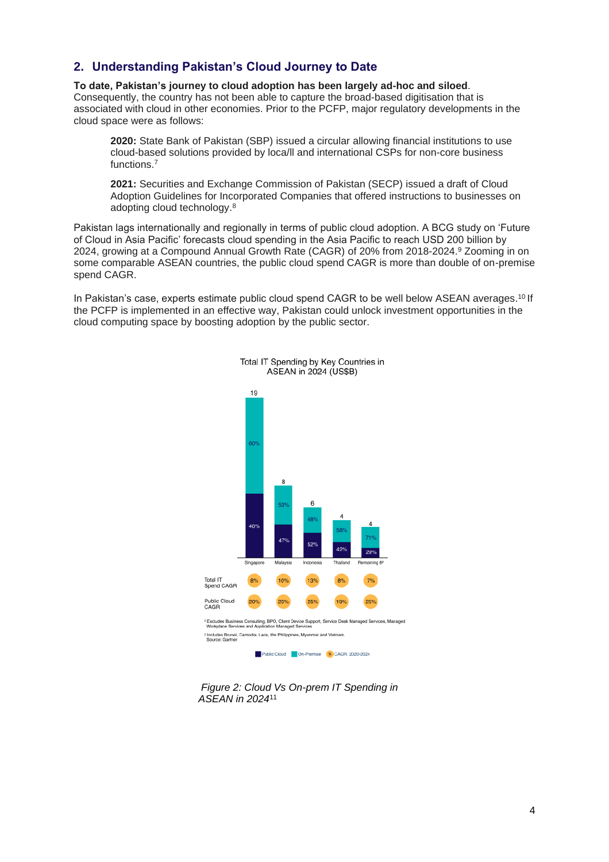## **2. Understanding Pakistan's Cloud Journey to Date**

**To date, Pakistan's journey to cloud adoption has been largely ad-hoc and siloed**. Consequently, the country has not been able to capture the broad-based digitisation that is associated with cloud in other economies. Prior to the PCFP, major regulatory developments in the cloud space were as follows:

**2020:** State Bank of Pakistan (SBP) issued a circular allowing financial institutions to use cloud-based solutions provided by loca/ll and international CSPs for non-core business functions. 7

**2021:** Securities and Exchange Commission of Pakistan (SECP) issued a draft of Cloud Adoption Guidelines for Incorporated Companies that offered instructions to businesses on adopting cloud technology. 8

Pakistan lags internationally and regionally in terms of public cloud adoption. A BCG study on 'Future of Cloud in Asia Pacific' forecasts cloud spending in the Asia Pacific to reach USD 200 billion by 2024, growing at a Compound Annual Growth Rate (CAGR) of 20% from 2018-2024. <sup>9</sup> Zooming in on some comparable ASEAN countries, the public cloud spend CAGR is more than double of on-premise spend CAGR.

In Pakistan's case, experts estimate public cloud spend CAGR to be well below ASEAN averages. <sup>10</sup> If the PCFP is implemented in an effective way, Pakistan could unlock investment opportunities in the cloud computing space by boosting adoption by the public sector.



 *Figure 2: Cloud Vs On-prem IT Spending in ASEAN in 2024*<sup>11</sup>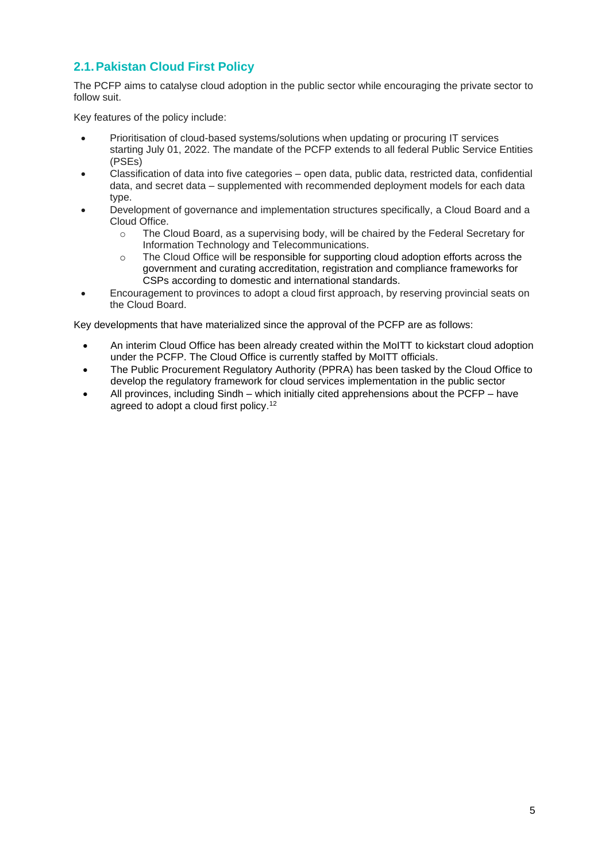# **2.1.Pakistan Cloud First Policy**

The PCFP aims to catalyse cloud adoption in the public sector while encouraging the private sector to follow suit.

Key features of the policy include:

- Prioritisation of cloud-based systems/solutions when updating or procuring IT services starting July 01, 2022. The mandate of the PCFP extends to all federal Public Service Entities (PSEs)
- Classification of data into five categories open data, public data, restricted data, confidential data, and secret data – supplemented with recommended deployment models for each data type.
- Development of governance and implementation structures specifically, a Cloud Board and a Cloud Office.
	- o The Cloud Board, as a supervising body, will be chaired by the Federal Secretary for Information Technology and Telecommunications.
	- o The Cloud Office will be responsible for supporting cloud adoption efforts across the government and curating accreditation, registration and compliance frameworks for CSPs according to domestic and international standards.
- Encouragement to provinces to adopt a cloud first approach, by reserving provincial seats on the Cloud Board.

Key developments that have materialized since the approval of the PCFP are as follows:

- An interim Cloud Office has been already created within the MoITT to kickstart cloud adoption under the PCFP. The Cloud Office is currently staffed by MoITT officials.
- The Public Procurement Regulatory Authority (PPRA) has been tasked by the Cloud Office to develop the regulatory framework for cloud services implementation in the public sector
- All provinces, including Sindh which initially cited apprehensions about the PCFP have agreed to adopt a cloud first policy. 12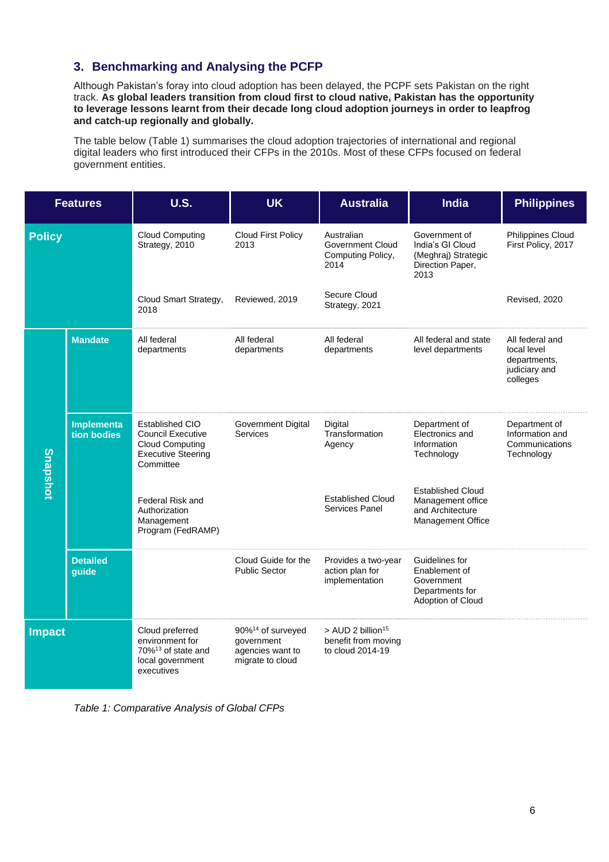# **3. Benchmarking and Analysing the PCFP**

Although Pakistan's foray into cloud adoption has been delayed, the PCPF sets Pakistan on the right track. **As global leaders transition from cloud first to cloud native, Pakistan has the opportunity to leverage lessons learnt from their decade long cloud adoption journeys in order to leapfrog and catch-up regionally and globally.**

The table below (Table 1) summarises the cloud adoption trajectories of international and regional digital leaders who first introduced their CFPs in the 2010s. Most of these CFPs focused on federal government entities.

| <b>Features</b> |                           | <b>U.S.</b>                                                                                                     | <b>UK</b>                                                                           | <b>Australia</b>                                                         | <b>India</b>                                                                           | <b>Philippines</b>                                                          |
|-----------------|---------------------------|-----------------------------------------------------------------------------------------------------------------|-------------------------------------------------------------------------------------|--------------------------------------------------------------------------|----------------------------------------------------------------------------------------|-----------------------------------------------------------------------------|
| <b>Policy</b>   |                           | <b>Cloud Computing</b><br>Strategy, 2010                                                                        | <b>Cloud First Policy</b><br>2013                                                   | Australian<br>Government Cloud<br>Computing Policy,<br>2014              | Government of<br>India's GI Cloud<br>(Meghraj) Strategic<br>Direction Paper,<br>2013   | <b>Philippines Cloud</b><br>First Policy, 2017                              |
|                 |                           | Cloud Smart Strategy,<br>2018                                                                                   | Reviewed, 2019                                                                      | Secure Cloud<br>Strategy, 2021                                           |                                                                                        | Revised, 2020                                                               |
| <b>Snapshot</b> | <b>Mandate</b>            | All federal<br>departments                                                                                      | All federal<br>departments                                                          | All federal<br>departments                                               | All federal and state<br>level departments                                             | All federal and<br>local level<br>departments,<br>judiciary and<br>colleges |
|                 | Implementa<br>tion bodies | Established CIO<br><b>Council Executive</b><br><b>Cloud Computing</b><br><b>Executive Steering</b><br>Committee | <b>Government Digital</b><br>Services                                               | Digital<br>Transformation<br>Agency                                      | Department of<br>Electronics and<br>Information<br>Technology                          | Department of<br>Information and<br>Communications<br>Technology            |
|                 |                           | Federal Risk and<br>Authorization<br>Management<br>Program (FedRAMP)                                            |                                                                                     | <b>Established Cloud</b><br>Services Panel                               | <b>Established Cloud</b><br>Management office<br>and Architecture<br>Management Office |                                                                             |
|                 | <b>Detailed</b><br>guide  |                                                                                                                 | Cloud Guide for the<br><b>Public Sector</b>                                         | Provides a two-year<br>action plan for<br>implementation                 | Guidelines for<br>Enablement of<br>Government<br>Departments for<br>Adoption of Cloud  |                                                                             |
| <b>Impact</b>   |                           | Cloud preferred<br>environment for<br>70% <sup>13</sup> of state and<br>local government<br>executives          | 90% <sup>14</sup> of surveyed<br>government<br>agencies want to<br>migrate to cloud | > AUD 2 billion <sup>15</sup><br>benefit from moving<br>to cloud 2014-19 |                                                                                        |                                                                             |

*Table 1: Comparative Analysis of Global CFPs*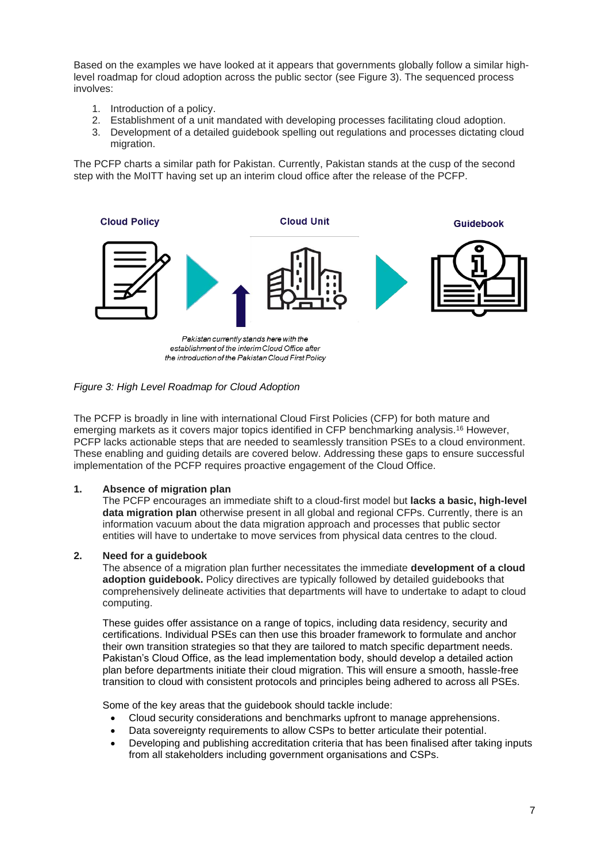Based on the examples we have looked at it appears that governments globally follow a similar highlevel roadmap for cloud adoption across the public sector (see Figure 3). The sequenced process involves:

- 1. Introduction of a policy.
- 2. Establishment of a unit mandated with developing processes facilitating cloud adoption.
- 3. Development of a detailed guidebook spelling out regulations and processes dictating cloud migration.

The PCFP charts a similar path for Pakistan. Currently, Pakistan stands at the cusp of the second step with the MoITT having set up an interim cloud office after the release of the PCFP.



Pakistan currently stands here with the establishment of the interim Cloud Office after the introduction of the Pakistan Cloud First Policy

#### *Figure 3: High Level Roadmap for Cloud Adoption*

The PCFP is broadly in line with international Cloud First Policies (CFP) for both mature and emerging markets as it covers major topics identified in CFP benchmarking analysis.<sup>16</sup> However, PCFP lacks actionable steps that are needed to seamlessly transition PSEs to a cloud environment. These enabling and guiding details are covered below. Addressing these gaps to ensure successful implementation of the PCFP requires proactive engagement of the Cloud Office.

#### **1. Absence of migration plan**

The PCFP encourages an immediate shift to a cloud-first model but **lacks a basic, high-level data migration plan** otherwise present in all global and regional CFPs. Currently, there is an information vacuum about the data migration approach and processes that public sector entities will have to undertake to move services from physical data centres to the cloud.

#### **2. Need for a guidebook**

The absence of a migration plan further necessitates the immediate **development of a cloud adoption guidebook.** Policy directives are typically followed by detailed guidebooks that comprehensively delineate activities that departments will have to undertake to adapt to cloud computing.

These guides offer assistance on a range of topics, including data residency, security and certifications. Individual PSEs can then use this broader framework to formulate and anchor their own transition strategies so that they are tailored to match specific department needs. Pakistan's Cloud Office, as the lead implementation body, should develop a detailed action plan before departments initiate their cloud migration. This will ensure a smooth, hassle-free transition to cloud with consistent protocols and principles being adhered to across all PSEs.

Some of the key areas that the guidebook should tackle include:

- Cloud security considerations and benchmarks upfront to manage apprehensions.
- Data sovereignty requirements to allow CSPs to better articulate their potential.
- Developing and publishing accreditation criteria that has been finalised after taking inputs from all stakeholders including government organisations and CSPs.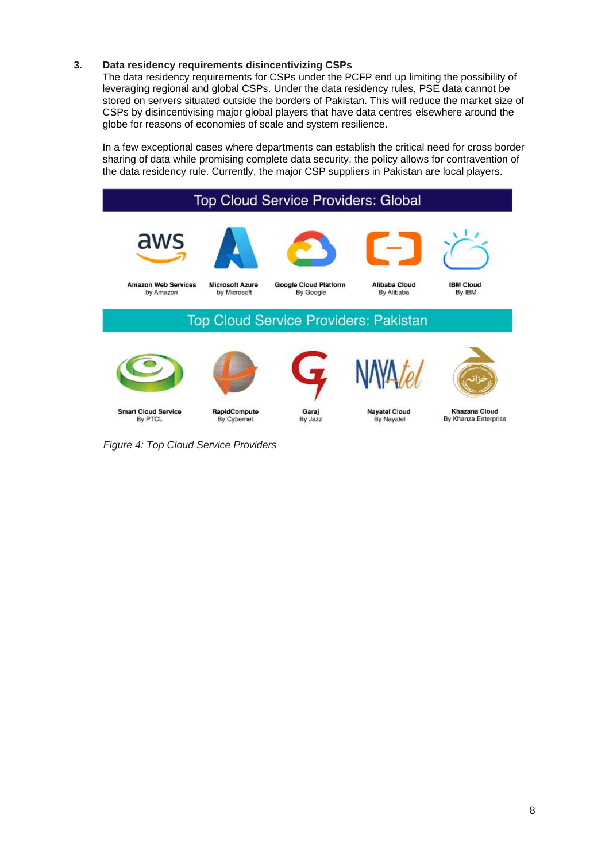#### **3. Data residency requirements disincentivizing CSPs**

The data residency requirements for CSPs under the PCFP end up limiting the possibility of leveraging regional and global CSPs. Under the data residency rules, PSE data cannot be stored on servers situated outside the borders of Pakistan. This will reduce the market size of CSPs by disincentivising major global players that have data centres elsewhere around the globe for reasons of economies of scale and system resilience.

In a few exceptional cases where departments can establish the critical need for cross border sharing of data while promising complete data security, the policy allows for contravention of the data residency rule. Currently, the major CSP suppliers in Pakistan are local players.



 *Figure 4: Top Cloud Service Providers*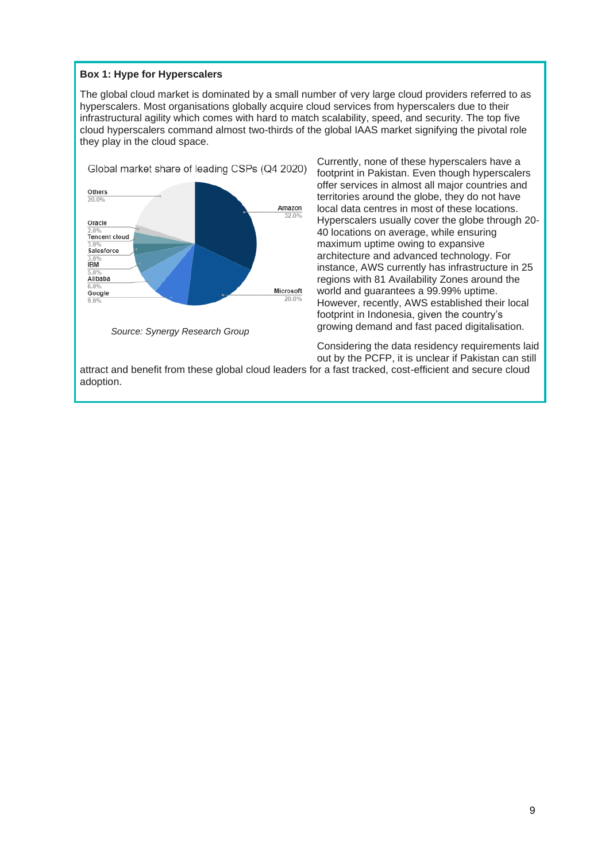#### **Box 1: Hype for Hyperscalers**

The global cloud market is dominated by a small number of very large cloud providers referred to as hyperscalers. Most organisations globally acquire cloud services from hyperscalers due to their infrastructural agility which comes with hard to match scalability, speed, and security. The top five cloud hyperscalers command almost two-thirds of the global IAAS market signifying the pivotal role they play in the cloud space.



Currently, none of these hyperscalers have a footprint in Pakistan. Even though hyperscalers offer services in almost all major countries and territories around the globe, they do not have local data centres in most of these locations. Hyperscalers usually cover the globe through 20- 40 locations on average, while ensuring maximum uptime owing to expansive architecture and advanced technology. For instance, AWS currently has infrastructure in 25 regions with 81 Availability Zones around the world and guarantees a 99.99% uptime. However, recently, AWS established their local footprint in Indonesia, given the country's growing demand and fast paced digitalisation.

Considering the data residency requirements laid out by the PCFP, it is unclear if Pakistan can still

attract and benefit from these global cloud leaders for a fast tracked, cost-efficient and secure cloud adoption.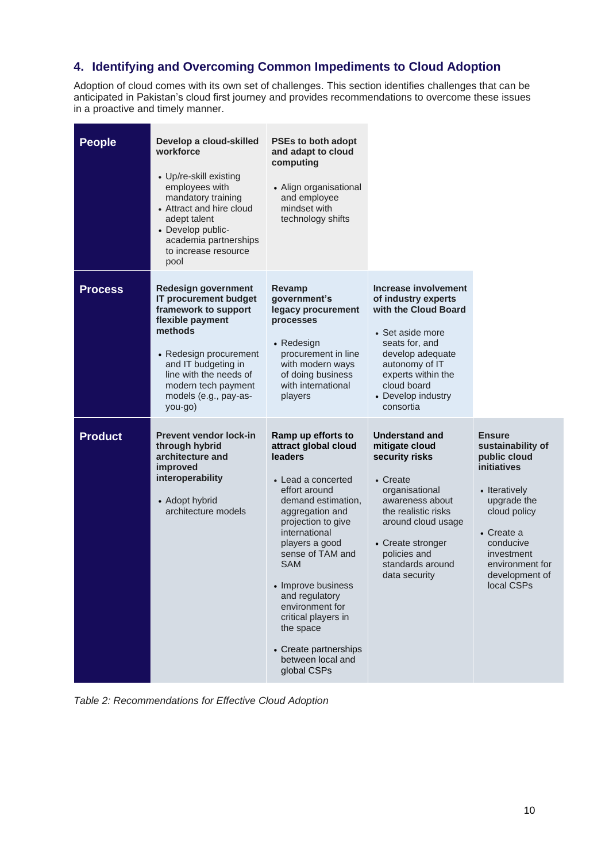# **4. Identifying and Overcoming Common Impediments to Cloud Adoption**

Adoption of cloud comes with its own set of challenges. This section identifies challenges that can be anticipated in Pakistan's cloud first journey and provides recommendations to overcome these issues in a proactive and timely manner.

| <b>People</b>  | Develop a cloud-skilled<br>workforce<br>• Up/re-skill existing<br>employees with<br>mandatory training<br>• Attract and hire cloud<br>adept talent<br>• Develop public-<br>academia partnerships<br>to increase resource<br>pool                 | <b>PSEs to both adopt</b><br>and adapt to cloud<br>computing<br>• Align organisational<br>and employee<br>mindset with<br>technology shifts                                                                                                                                                                                                                                                |                                                                                                                                                                                                                                   |                                                                                                                                                                                                               |
|----------------|--------------------------------------------------------------------------------------------------------------------------------------------------------------------------------------------------------------------------------------------------|--------------------------------------------------------------------------------------------------------------------------------------------------------------------------------------------------------------------------------------------------------------------------------------------------------------------------------------------------------------------------------------------|-----------------------------------------------------------------------------------------------------------------------------------------------------------------------------------------------------------------------------------|---------------------------------------------------------------------------------------------------------------------------------------------------------------------------------------------------------------|
| <b>Process</b> | <b>Redesign government</b><br>IT procurement budget<br>framework to support<br>flexible payment<br>methods<br>• Redesign procurement<br>and IT budgeting in<br>line with the needs of<br>modern tech payment<br>models (e.g., pay-as-<br>you-go) | Revamp<br>government's<br>legacy procurement<br>processes<br>• Redesign<br>procurement in line<br>with modern ways<br>of doing business<br>with international<br>players                                                                                                                                                                                                                   | Increase involvement<br>of industry experts<br>with the Cloud Board<br>• Set aside more<br>seats for, and<br>develop adequate<br>autonomy of IT<br>experts within the<br>cloud board<br>• Develop industry<br>consortia           |                                                                                                                                                                                                               |
| <b>Product</b> | <b>Prevent vendor lock-in</b><br>through hybrid<br>architecture and<br>improved<br>interoperability<br>• Adopt hybrid<br>architecture models                                                                                                     | Ramp up efforts to<br>attract global cloud<br>leaders<br>• Lead a concerted<br>effort around<br>demand estimation,<br>aggregation and<br>projection to give<br>international<br>players a good<br>sense of TAM and<br><b>SAM</b><br>Improve business<br>and regulatory<br>environment for<br>critical players in<br>the space<br>• Create partnerships<br>between local and<br>global CSPs | <b>Understand and</b><br>mitigate cloud<br>security risks<br>• Create<br>organisational<br>awareness about<br>the realistic risks<br>around cloud usage<br>• Create stronger<br>policies and<br>standards around<br>data security | <b>Ensure</b><br>sustainability of<br>public cloud<br>initiatives<br>• Iteratively<br>upgrade the<br>cloud policy<br>• Create a<br>conducive<br>investment<br>environment for<br>development of<br>local CSPs |

*Table 2: Recommendations for Effective Cloud Adoption*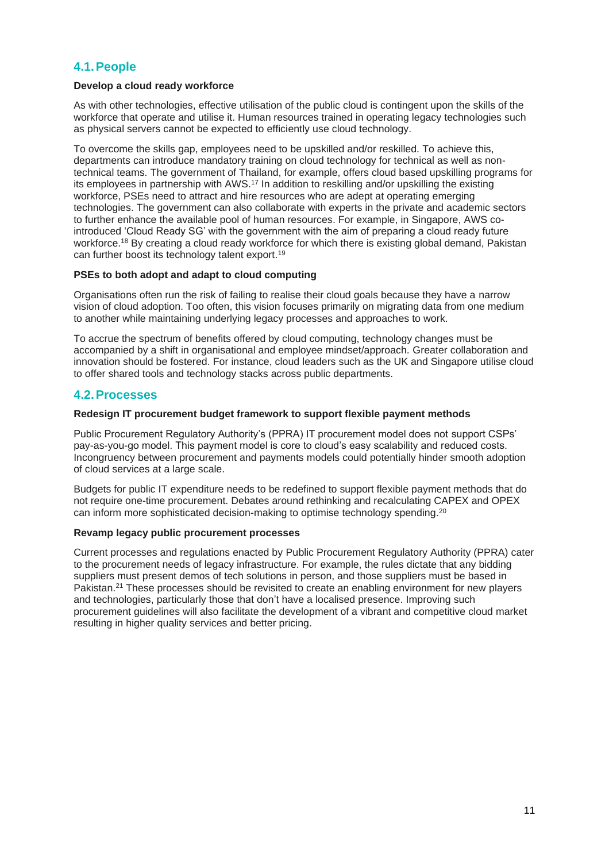## **4.1.People**

#### **Develop a cloud ready workforce**

As with other technologies, effective utilisation of the public cloud is contingent upon the skills of the workforce that operate and utilise it. Human resources trained in operating legacy technologies such as physical servers cannot be expected to efficiently use cloud technology.

To overcome the skills gap, employees need to be upskilled and/or reskilled. To achieve this, departments can introduce mandatory training on cloud technology for technical as well as nontechnical teams. The government of Thailand, for example, offers cloud based upskilling programs for its employees in partnership with AWS. <sup>17</sup> In addition to reskilling and/or upskilling the existing workforce, PSEs need to attract and hire resources who are adept at operating emerging technologies. The government can also collaborate with experts in the private and academic sectors to further enhance the available pool of human resources. For example, in Singapore, AWS cointroduced 'Cloud Ready SG' with the government with the aim of preparing a cloud ready future workforce. <sup>18</sup> By creating a cloud ready workforce for which there is existing global demand, Pakistan can further boost its technology talent export. 19

#### **PSEs to both adopt and adapt to cloud computing**

Organisations often run the risk of failing to realise their cloud goals because they have a narrow vision of cloud adoption. Too often, this vision focuses primarily on migrating data from one medium to another while maintaining underlying legacy processes and approaches to work.

To accrue the spectrum of benefits offered by cloud computing, technology changes must be accompanied by a shift in organisational and employee mindset/approach. Greater collaboration and innovation should be fostered. For instance, cloud leaders such as the UK and Singapore utilise cloud to offer shared tools and technology stacks across public departments.

## **4.2.Processes**

#### **Redesign IT procurement budget framework to support flexible payment methods**

Public Procurement Regulatory Authority's (PPRA) IT procurement model does not support CSPs' pay-as-you-go model. This payment model is core to cloud's easy scalability and reduced costs. Incongruency between procurement and payments models could potentially hinder smooth adoption of cloud services at a large scale.

Budgets for public IT expenditure needs to be redefined to support flexible payment methods that do not require one-time procurement. Debates around rethinking and recalculating CAPEX and OPEX can inform more sophisticated decision-making to optimise technology spending. 20

#### **Revamp legacy public procurement processes**

Current processes and regulations enacted by Public Procurement Regulatory Authority (PPRA) cater to the procurement needs of legacy infrastructure. For example, the rules dictate that any bidding suppliers must present demos of tech solutions in person, and those suppliers must be based in Pakistan.<sup>21</sup> These processes should be revisited to create an enabling environment for new players and technologies, particularly those that don't have a localised presence. Improving such procurement guidelines will also facilitate the development of a vibrant and competitive cloud market resulting in higher quality services and better pricing.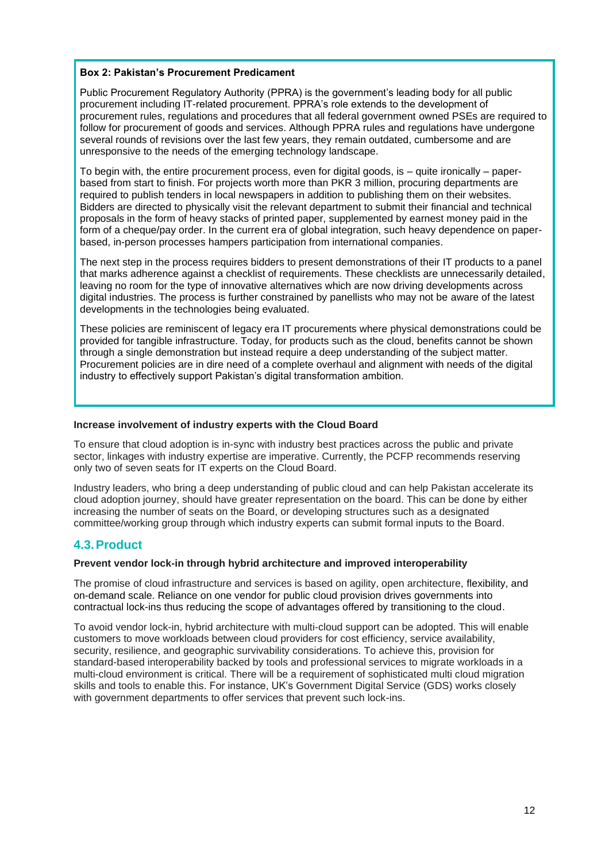#### **Box 2: Pakistan's Procurement Predicament**

Public Procurement Regulatory Authority (PPRA) is the government's leading body for all public procurement including IT-related procurement. PPRA's role extends to the development of procurement rules, regulations and procedures that all federal government owned PSEs are required to follow for procurement of goods and services. Although PPRA rules and regulations have undergone several rounds of revisions over the last few years, they remain outdated, cumbersome and are unresponsive to the needs of the emerging technology landscape.

To begin with, the entire procurement process, even for digital goods, is – quite ironically – paperbased from start to finish. For projects worth more than PKR 3 million, procuring departments are required to publish tenders in local newspapers in addition to publishing them on their websites. Bidders are directed to physically visit the relevant department to submit their financial and technical proposals in the form of heavy stacks of printed paper, supplemented by earnest money paid in the form of a cheque/pay order. In the current era of global integration, such heavy dependence on paperbased, in-person processes hampers participation from international companies.

The next step in the process requires bidders to present demonstrations of their IT products to a panel that marks adherence against a checklist of requirements. These checklists are unnecessarily detailed, leaving no room for the type of innovative alternatives which are now driving developments across digital industries. The process is further constrained by panellists who may not be aware of the latest developments in the technologies being evaluated.

These policies are reminiscent of legacy era IT procurements where physical demonstrations could be provided for tangible infrastructure. Today, for products such as the cloud, benefits cannot be shown through a single demonstration but instead require a deep understanding of the subject matter. Procurement policies are in dire need of a complete overhaul and alignment with needs of the digital industry to effectively support Pakistan's digital transformation ambition.

#### **Increase involvement of industry experts with the Cloud Board**

To ensure that cloud adoption is in-sync with industry best practices across the public and private sector, linkages with industry expertise are imperative. Currently, the PCFP recommends reserving only two of seven seats for IT experts on the Cloud Board.

Industry leaders, who bring a deep understanding of public cloud and can help Pakistan accelerate its cloud adoption journey, should have greater representation on the board. This can be done by either increasing the number of seats on the Board, or developing structures such as a designated committee/working group through which industry experts can submit formal inputs to the Board.

## **4.3.Product**

#### **Prevent vendor lock-in through hybrid architecture and improved interoperability**

The promise of cloud infrastructure and services is based on agility, open architecture, flexibility, and on-demand scale. Reliance on one vendor for public cloud provision drives governments into contractual lock-ins thus reducing the scope of advantages offered by transitioning to the cloud.

To avoid vendor lock-in, hybrid architecture with multi-cloud support can be adopted. This will enable customers to move workloads between cloud providers for cost efficiency, service availability, security, resilience, and geographic survivability considerations. To achieve this, provision for standard-based interoperability backed by tools and professional services to migrate workloads in a multi-cloud environment is critical. There will be a requirement of sophisticated multi cloud migration skills and tools to enable this. For instance, UK's Government Digital Service (GDS) works closely with government departments to offer services that prevent such lock-ins.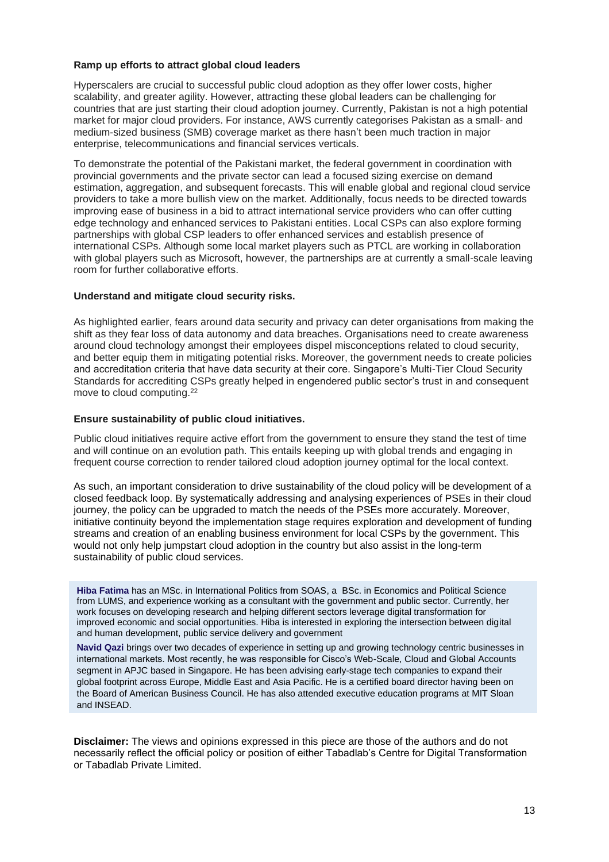#### **Ramp up efforts to attract global cloud leaders**

Hyperscalers are crucial to successful public cloud adoption as they offer lower costs, higher scalability, and greater agility. However, attracting these global leaders can be challenging for countries that are just starting their cloud adoption journey. Currently, Pakistan is not a high potential market for major cloud providers. For instance, AWS currently categorises Pakistan as a small- and medium-sized business (SMB) coverage market as there hasn't been much traction in major enterprise, telecommunications and financial services verticals.

To demonstrate the potential of the Pakistani market, the federal government in coordination with provincial governments and the private sector can lead a focused sizing exercise on demand estimation, aggregation, and subsequent forecasts. This will enable global and regional cloud service providers to take a more bullish view on the market. Additionally, focus needs to be directed towards improving ease of business in a bid to attract international service providers who can offer cutting edge technology and enhanced services to Pakistani entities. Local CSPs can also explore forming partnerships with global CSP leaders to offer enhanced services and establish presence of international CSPs. Although some local market players such as PTCL are working in collaboration with global players such as Microsoft, however, the partnerships are at currently a small-scale leaving room for further collaborative efforts.

#### **Understand and mitigate cloud security risks.**

As highlighted earlier, fears around data security and privacy can deter organisations from making the shift as they fear loss of data autonomy and data breaches. Organisations need to create awareness around cloud technology amongst their employees dispel misconceptions related to cloud security, and better equip them in mitigating potential risks. Moreover, the government needs to create policies and accreditation criteria that have data security at their core. Singapore's Multi-Tier Cloud Security Standards for accrediting CSPs greatly helped in engendered public sector's trust in and consequent move to cloud computing. 22

#### **Ensure sustainability of public cloud initiatives.**

Public cloud initiatives require active effort from the government to ensure they stand the test of time and will continue on an evolution path. This entails keeping up with global trends and engaging in frequent course correction to render tailored cloud adoption journey optimal for the local context.

As such, an important consideration to drive sustainability of the cloud policy will be development of a closed feedback loop. By systematically addressing and analysing experiences of PSEs in their cloud journey, the policy can be upgraded to match the needs of the PSEs more accurately. Moreover, initiative continuity beyond the implementation stage requires exploration and development of funding streams and creation of an enabling business environment for local CSPs by the government. This would not only help jumpstart cloud adoption in the country but also assist in the long-term sustainability of public cloud services.

**Hiba Fatima** has an MSc. in International Politics from SOAS, a BSc. in Economics and Political Science from LUMS, and experience working as a consultant with the government and public sector. Currently, her work focuses on developing research and helping different sectors leverage digital transformation for improved economic and social opportunities. Hiba is interested in exploring the intersection between digital and human development, public service delivery and government

**Navid Qazi** brings over two decades of experience in setting up and growing technology centric businesses in international markets. Most recently, he was responsible for Cisco's Web-Scale, Cloud and Global Accounts segment in APJC based in Singapore. He has been advising early-stage tech companies to expand their global footprint across Europe, Middle East and Asia Pacific. He is a certified board director having been on the Board of American Business Council. He has also attended executive education programs at MIT Sloan and INSEAD.

**Disclaimer:** The views and opinions expressed in this piece are those of the authors and do not necessarily reflect the official policy or position of either Tabadlab's Centre for Digital Transformation or Tabadlab Private Limited.